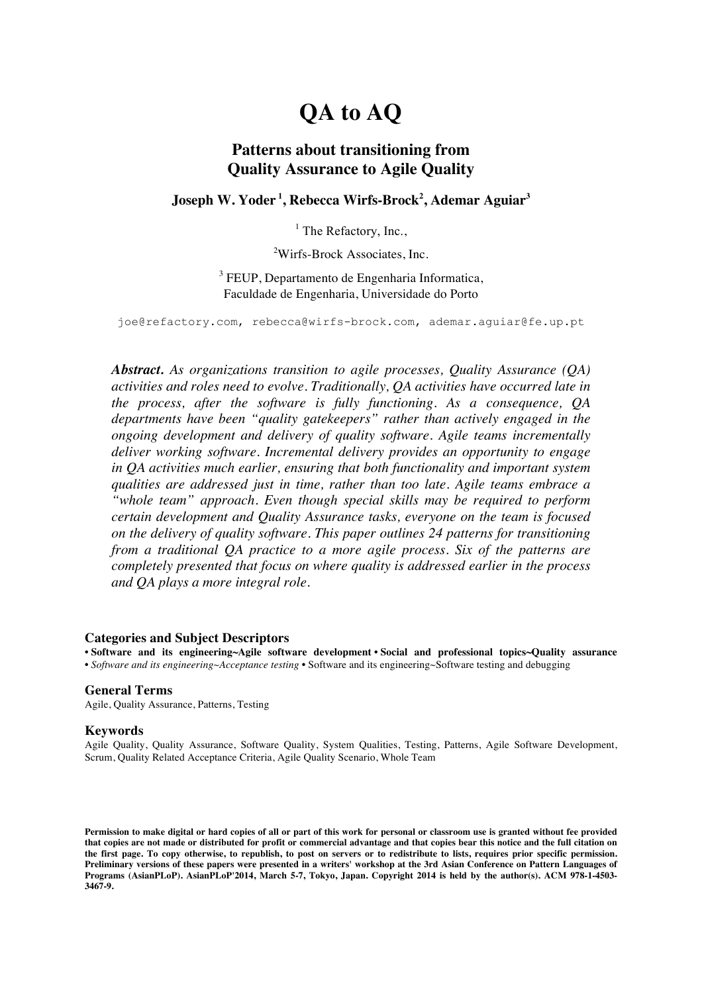# **QA to AQ**

### **Patterns about transitioning from Quality Assurance to Agile Quality**

#### **Joseph W. Yoder <sup>1</sup> , Rebecca Wirfs-Brock<sup>2</sup> , Ademar Aguiar3**

 $<sup>1</sup>$  The Refactory, Inc.,</sup>

<sup>2</sup>Wirfs-Brock Associates, Inc.

 $3$  FEUP, Departamento de Engenharia Informatica, Faculdade de Engenharia, Universidade do Porto

joe@refactory.com, rebecca@wirfs-brock.com, ademar.aguiar@fe.up.pt

*Abstract. As organizations transition to agile processes, Quality Assurance (QA) activities and roles need to evolve. Traditionally, QA activities have occurred late in the process, after the software is fully functioning. As a consequence, QA departments have been "quality gatekeepers" rather than actively engaged in the ongoing development and delivery of quality software. Agile teams incrementally deliver working software. Incremental delivery provides an opportunity to engage in QA activities much earlier, ensuring that both functionality and important system qualities are addressed just in time, rather than too late. Agile teams embrace a "whole team" approach. Even though special skills may be required to perform certain development and Quality Assurance tasks, everyone on the team is focused on the delivery of quality software. This paper outlines 24 patterns for transitioning from a traditional QA practice to a more agile process. Six of the patterns are completely presented that focus on where quality is addressed earlier in the process and QA plays a more integral role.*

#### **Categories and Subject Descriptors**

• **Software and its engineering~Agile software development** • **Social and professional topics~Quality assurance** • *Software and its engineering~Acceptance testing* • Software and its engineering~Software testing and debugging

#### **General Terms**

Agile, Quality Assurance, Patterns, Testing

#### **Keywords**

Agile Quality, Quality Assurance, Software Quality, System Qualities, Testing, Patterns, Agile Software Development, Scrum, Quality Related Acceptance Criteria, Agile Quality Scenario, Whole Team

**Permission to make digital or hard copies of all or part of this work for personal or classroom use is granted without fee provided that copies are not made or distributed for profit or commercial advantage and that copies bear this notice and the full citation on the first page. To copy otherwise, to republish, to post on servers or to redistribute to lists, requires prior specific permission. Preliminary versions of these papers were presented in a writers' workshop at the 3rd Asian Conference on Pattern Languages of Programs (AsianPLoP). AsianPLoP'2014, March 5-7, Tokyo, Japan. Copyright 2014 is held by the author(s). ACM 978-1-4503- 3467-9.**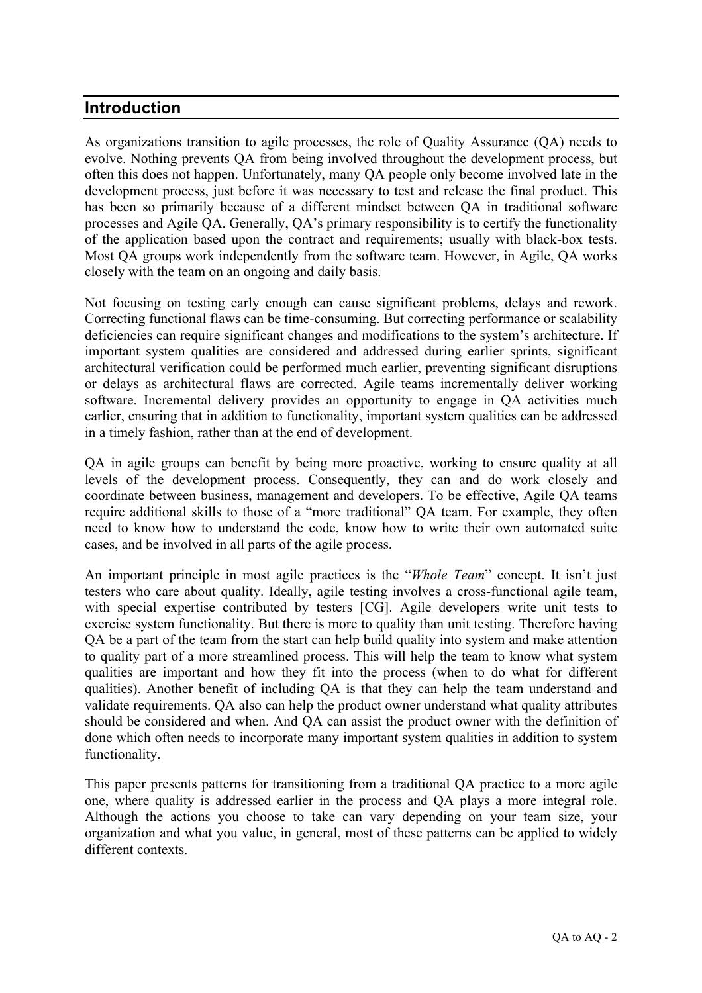### **Introduction**

As organizations transition to agile processes, the role of Quality Assurance (QA) needs to evolve. Nothing prevents QA from being involved throughout the development process, but often this does not happen. Unfortunately, many QA people only become involved late in the development process, just before it was necessary to test and release the final product. This has been so primarily because of a different mindset between QA in traditional software processes and Agile QA. Generally, QA's primary responsibility is to certify the functionality of the application based upon the contract and requirements; usually with black-box tests. Most QA groups work independently from the software team. However, in Agile, QA works closely with the team on an ongoing and daily basis.

Not focusing on testing early enough can cause significant problems, delays and rework. Correcting functional flaws can be time-consuming. But correcting performance or scalability deficiencies can require significant changes and modifications to the system's architecture. If important system qualities are considered and addressed during earlier sprints, significant architectural verification could be performed much earlier, preventing significant disruptions or delays as architectural flaws are corrected. Agile teams incrementally deliver working software. Incremental delivery provides an opportunity to engage in QA activities much earlier, ensuring that in addition to functionality, important system qualities can be addressed in a timely fashion, rather than at the end of development.

QA in agile groups can benefit by being more proactive, working to ensure quality at all levels of the development process. Consequently, they can and do work closely and coordinate between business, management and developers. To be effective, Agile QA teams require additional skills to those of a "more traditional" QA team. For example, they often need to know how to understand the code, know how to write their own automated suite cases, and be involved in all parts of the agile process.

An important principle in most agile practices is the "*Whole Team*" concept. It isn't just testers who care about quality. Ideally, agile testing involves a cross-functional agile team, with special expertise contributed by testers [CG]. Agile developers write unit tests to exercise system functionality. But there is more to quality than unit testing. Therefore having QA be a part of the team from the start can help build quality into system and make attention to quality part of a more streamlined process. This will help the team to know what system qualities are important and how they fit into the process (when to do what for different qualities). Another benefit of including QA is that they can help the team understand and validate requirements. QA also can help the product owner understand what quality attributes should be considered and when. And QA can assist the product owner with the definition of done which often needs to incorporate many important system qualities in addition to system functionality.

This paper presents patterns for transitioning from a traditional QA practice to a more agile one, where quality is addressed earlier in the process and QA plays a more integral role. Although the actions you choose to take can vary depending on your team size, your organization and what you value, in general, most of these patterns can be applied to widely different contexts.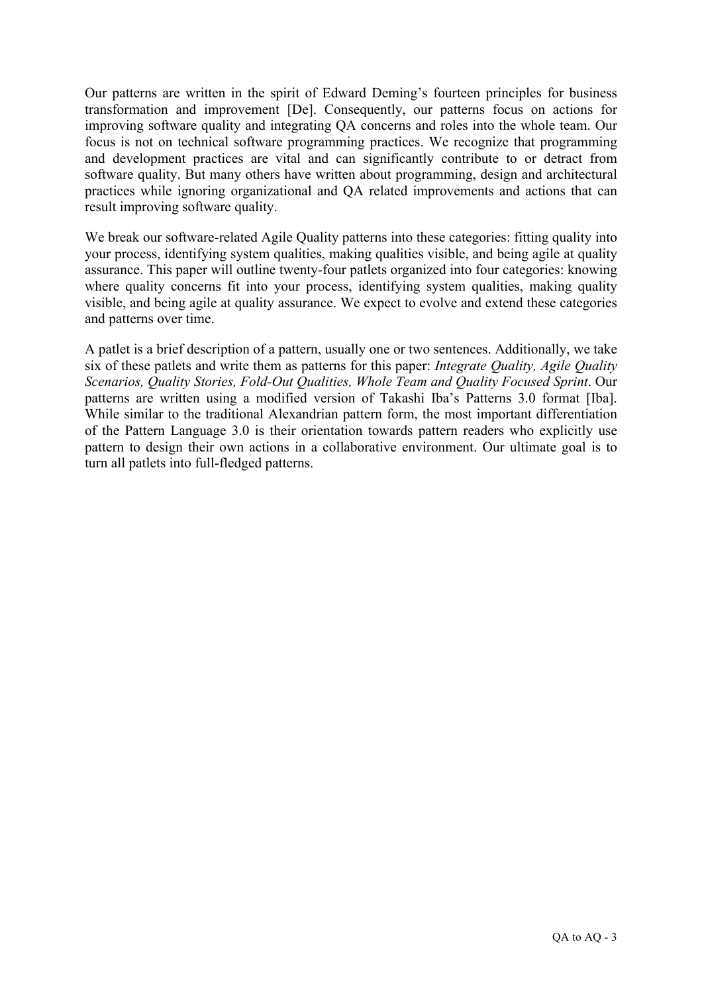Our patterns are written in the spirit of Edward Deming's fourteen principles for business transformation and improvement [De]. Consequently, our patterns focus on actions for improving software quality and integrating QA concerns and roles into the whole team. Our focus is not on technical software programming practices. We recognize that programming and development practices are vital and can significantly contribute to or detract from software quality. But many others have written about programming, design and architectural practices while ignoring organizational and QA related improvements and actions that can result improving software quality.

We break our software-related Agile Quality patterns into these categories: fitting quality into your process, identifying system qualities, making qualities visible, and being agile at quality assurance. This paper will outline twenty-four patlets organized into four categories: knowing where quality concerns fit into your process, identifying system qualities, making quality visible, and being agile at quality assurance. We expect to evolve and extend these categories and patterns over time.

A patlet is a brief description of a pattern, usually one or two sentences. Additionally, we take six of these patlets and write them as patterns for this paper: *Integrate Quality, Agile Quality Scenarios, Quality Stories, Fold-Out Qualities, Whole Team and Quality Focused Sprint*. Our patterns are written using a modified version of Takashi Iba's Patterns 3.0 format [Iba]. While similar to the traditional Alexandrian pattern form, the most important differentiation of the Pattern Language 3.0 is their orientation towards pattern readers who explicitly use pattern to design their own actions in a collaborative environment. Our ultimate goal is to turn all patlets into full-fledged patterns.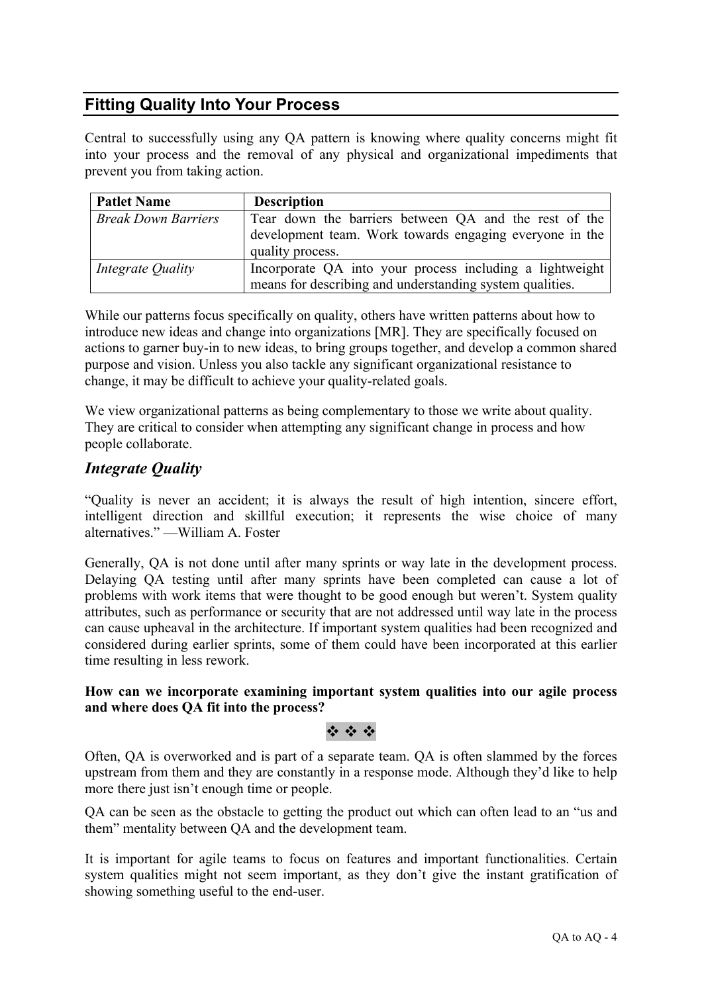## **Fitting Quality Into Your Process**

Central to successfully using any QA pattern is knowing where quality concerns might fit into your process and the removal of any physical and organizational impediments that prevent you from taking action.

| <b>Patlet Name</b>         | <b>Description</b>                                                          |
|----------------------------|-----------------------------------------------------------------------------|
| <b>Break Down Barriers</b> | Tear down the barriers between QA and the rest of the                       |
|                            | development team. Work towards engaging everyone in the<br>quality process. |
| Integrate Quality          | Incorporate QA into your process including a lightweight                    |
|                            | means for describing and understanding system qualities.                    |

While our patterns focus specifically on quality, others have written patterns about how to introduce new ideas and change into organizations [MR]. They are specifically focused on actions to garner buy-in to new ideas, to bring groups together, and develop a common shared purpose and vision. Unless you also tackle any significant organizational resistance to change, it may be difficult to achieve your quality-related goals.

We view organizational patterns as being complementary to those we write about quality. They are critical to consider when attempting any significant change in process and how people collaborate.

### *Integrate Quality*

"Quality is never an accident; it is always the result of high intention, sincere effort, intelligent direction and skillful execution; it represents the wise choice of many alternatives." —William A. Foster

Generally, QA is not done until after many sprints or way late in the development process. Delaying QA testing until after many sprints have been completed can cause a lot of problems with work items that were thought to be good enough but weren't. System quality attributes, such as performance or security that are not addressed until way late in the process can cause upheaval in the architecture. If important system qualities had been recognized and considered during earlier sprints, some of them could have been incorporated at this earlier time resulting in less rework.

#### **How can we incorporate examining important system qualities into our agile process and where does QA fit into the process?**

### $\ddot{\psi}$  :  $\ddot{\psi}$  :  $\ddot{\psi}$

Often, QA is overworked and is part of a separate team. QA is often slammed by the forces upstream from them and they are constantly in a response mode. Although they'd like to help more there just isn't enough time or people.

QA can be seen as the obstacle to getting the product out which can often lead to an "us and them" mentality between QA and the development team.

It is important for agile teams to focus on features and important functionalities. Certain system qualities might not seem important, as they don't give the instant gratification of showing something useful to the end-user.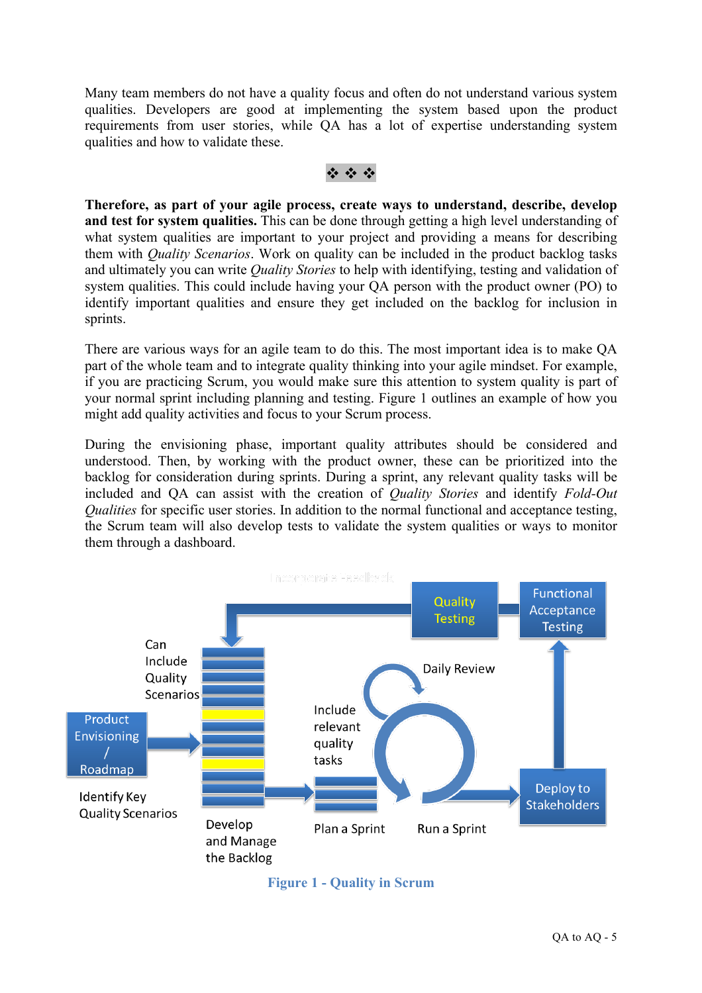Many team members do not have a quality focus and often do not understand various system qualities. Developers are good at implementing the system based upon the product requirements from user stories, while QA has a lot of expertise understanding system qualities and how to validate these.

#### $\ddot{\psi}$  :  $\ddot{\psi}$  :  $\ddot{\psi}$

**Therefore, as part of your agile process, create ways to understand, describe, develop and test for system qualities.** This can be done through getting a high level understanding of what system qualities are important to your project and providing a means for describing them with *Quality Scenarios*. Work on quality can be included in the product backlog tasks and ultimately you can write *Quality Stories* to help with identifying, testing and validation of system qualities. This could include having your QA person with the product owner (PO) to identify important qualities and ensure they get included on the backlog for inclusion in sprints.

There are various ways for an agile team to do this. The most important idea is to make QA part of the whole team and to integrate quality thinking into your agile mindset. For example, if you are practicing Scrum, you would make sure this attention to system quality is part of your normal sprint including planning and testing. Figure 1 outlines an example of how you might add quality activities and focus to your Scrum process.

During the envisioning phase, important quality attributes should be considered and understood. Then, by working with the product owner, these can be prioritized into the backlog for consideration during sprints. During a sprint, any relevant quality tasks will be included and QA can assist with the creation of *Quality Stories* and identify *Fold-Out Qualities* for specific user stories. In addition to the normal functional and acceptance testing, the Scrum team will also develop tests to validate the system qualities or ways to monitor them through a dashboard.



**Figure 1 - Quality in Scrum**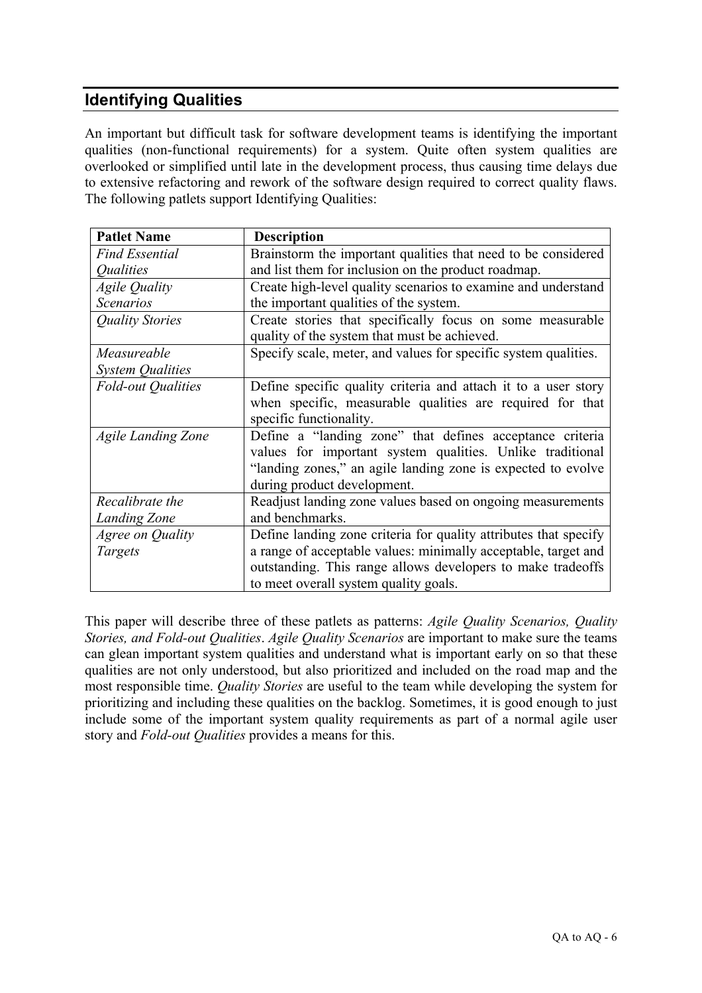## **Identifying Qualities**

An important but difficult task for software development teams is identifying the important qualities (non-functional requirements) for a system. Quite often system qualities are overlooked or simplified until late in the development process, thus causing time delays due to extensive refactoring and rework of the software design required to correct quality flaws. The following patlets support Identifying Qualities:

| <b>Patlet Name</b>             | <b>Description</b>                                               |
|--------------------------------|------------------------------------------------------------------|
| <b>Find Essential</b>          | Brainstorm the important qualities that need to be considered    |
| <i><u><b>Oualities</b></u></i> | and list them for inclusion on the product roadmap.              |
| <b>Agile Quality</b>           | Create high-level quality scenarios to examine and understand    |
| <b>Scenarios</b>               | the important qualities of the system.                           |
| Quality Stories                | Create stories that specifically focus on some measurable        |
|                                | quality of the system that must be achieved.                     |
| Measureable                    | Specify scale, meter, and values for specific system qualities.  |
| <b>System Qualities</b>        |                                                                  |
| <b>Fold-out Qualities</b>      | Define specific quality criteria and attach it to a user story   |
|                                | when specific, measurable qualities are required for that        |
|                                | specific functionality.                                          |
| <b>Agile Landing Zone</b>      | Define a "landing zone" that defines acceptance criteria         |
|                                | values for important system qualities. Unlike traditional        |
|                                | "landing zones," an agile landing zone is expected to evolve     |
|                                | during product development.                                      |
| Recalibrate the                | Readjust landing zone values based on ongoing measurements       |
| <b>Landing Zone</b>            | and benchmarks.                                                  |
| Agree on Quality               | Define landing zone criteria for quality attributes that specify |
| Targets                        | a range of acceptable values: minimally acceptable, target and   |
|                                | outstanding. This range allows developers to make tradeoffs      |
|                                | to meet overall system quality goals.                            |

This paper will describe three of these patlets as patterns: *Agile Quality Scenarios, Quality Stories, and Fold-out Qualities*. *Agile Quality Scenarios* are important to make sure the teams can glean important system qualities and understand what is important early on so that these qualities are not only understood, but also prioritized and included on the road map and the most responsible time. *Quality Stories* are useful to the team while developing the system for prioritizing and including these qualities on the backlog. Sometimes, it is good enough to just include some of the important system quality requirements as part of a normal agile user story and *Fold-out Qualities* provides a means for this.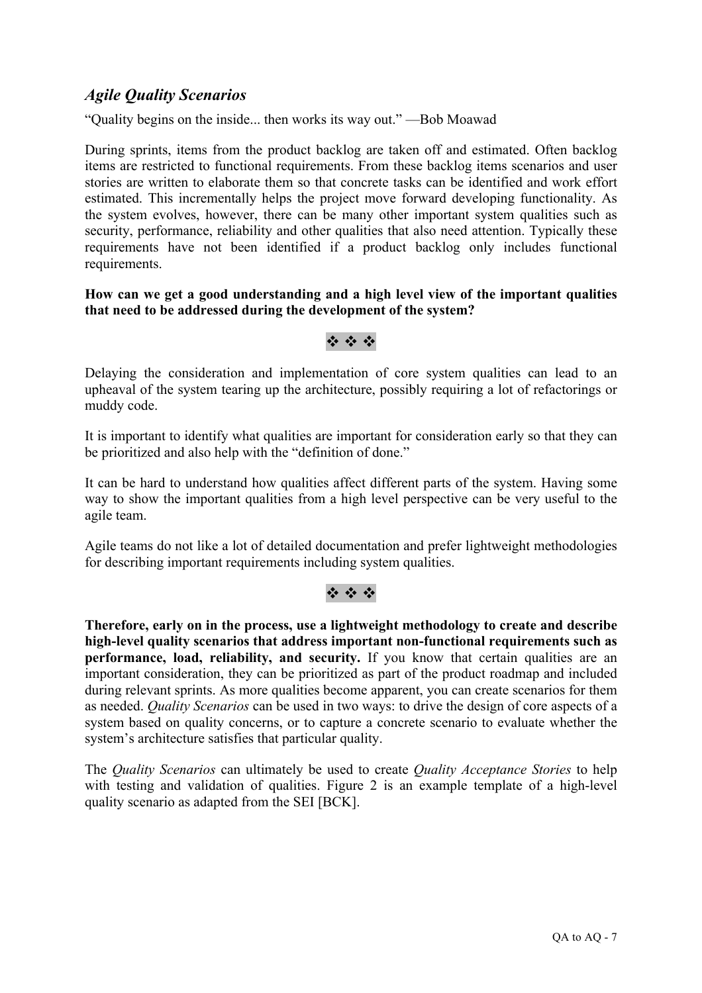### *Agile Quality Scenarios*

"Quality begins on the inside... then works its way out." —Bob Moawad

During sprints, items from the product backlog are taken off and estimated. Often backlog items are restricted to functional requirements. From these backlog items scenarios and user stories are written to elaborate them so that concrete tasks can be identified and work effort estimated. This incrementally helps the project move forward developing functionality. As the system evolves, however, there can be many other important system qualities such as security, performance, reliability and other qualities that also need attention. Typically these requirements have not been identified if a product backlog only includes functional requirements.

#### **How can we get a good understanding and a high level view of the important qualities that need to be addressed during the development of the system?**

### \* \* \*

Delaying the consideration and implementation of core system qualities can lead to an upheaval of the system tearing up the architecture, possibly requiring a lot of refactorings or muddy code.

It is important to identify what qualities are important for consideration early so that they can be prioritized and also help with the "definition of done."

It can be hard to understand how qualities affect different parts of the system. Having some way to show the important qualities from a high level perspective can be very useful to the agile team.

Agile teams do not like a lot of detailed documentation and prefer lightweight methodologies for describing important requirements including system qualities.

### $\ddot{\phi}$  =  $\ddot{\phi}$  =  $\ddot{\phi}$

**Therefore, early on in the process, use a lightweight methodology to create and describe high-level quality scenarios that address important non-functional requirements such as performance, load, reliability, and security.** If you know that certain qualities are an important consideration, they can be prioritized as part of the product roadmap and included during relevant sprints. As more qualities become apparent, you can create scenarios for them as needed. *Quality Scenarios* can be used in two ways: to drive the design of core aspects of a system based on quality concerns, or to capture a concrete scenario to evaluate whether the system's architecture satisfies that particular quality.

The *Quality Scenarios* can ultimately be used to create *Quality Acceptance Stories* to help with testing and validation of qualities. Figure 2 is an example template of a high-level quality scenario as adapted from the SEI [BCK].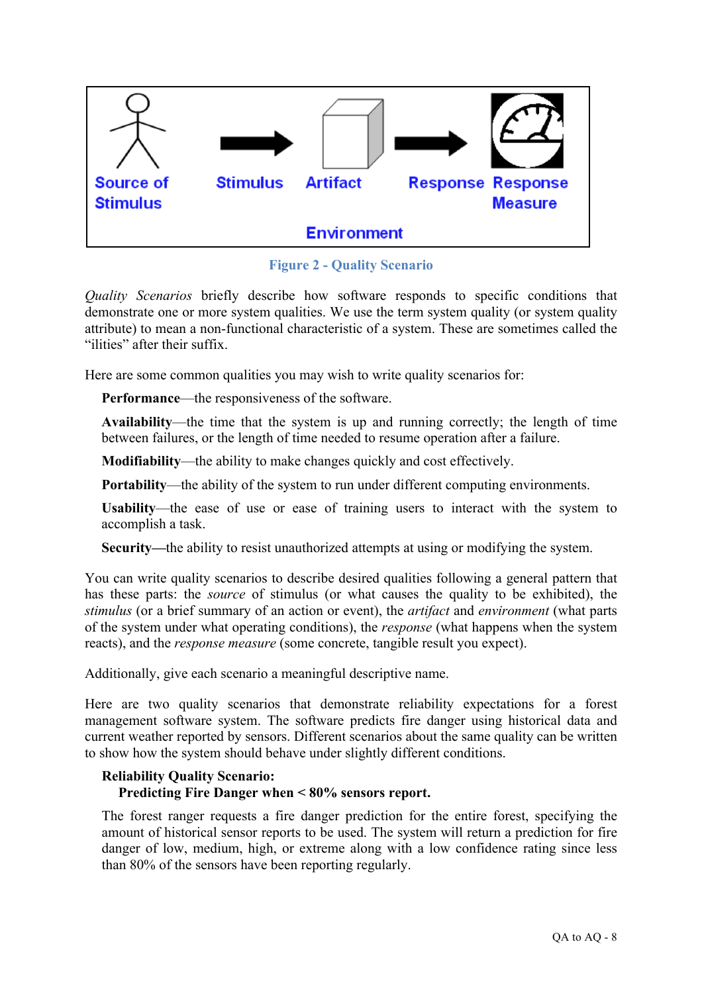

**Figure 2 - Quality Scenario**

*Quality Scenarios* briefly describe how software responds to specific conditions that demonstrate one or more system qualities. We use the term system quality (or system quality attribute) to mean a non-functional characteristic of a system. These are sometimes called the "ilities" after their suffix.

Here are some common qualities you may wish to write quality scenarios for:

**Performance**—the responsiveness of the software.

**Availability**—the time that the system is up and running correctly; the length of time between failures, or the length of time needed to resume operation after a failure.

**Modifiability**—the ability to make changes quickly and cost effectively.

**Portability—the ability of the system to run under different computing environments.** 

**Usability**—the ease of use or ease of training users to interact with the system to accomplish a task.

**Security—**the ability to resist unauthorized attempts at using or modifying the system.

You can write quality scenarios to describe desired qualities following a general pattern that has these parts: the *source* of stimulus (or what causes the quality to be exhibited), the *stimulus* (or a brief summary of an action or event), the *artifact* and *environment* (what parts of the system under what operating conditions), the *response* (what happens when the system reacts), and the *response measure* (some concrete, tangible result you expect).

Additionally, give each scenario a meaningful descriptive name.

Here are two quality scenarios that demonstrate reliability expectations for a forest management software system. The software predicts fire danger using historical data and current weather reported by sensors. Different scenarios about the same quality can be written to show how the system should behave under slightly different conditions.

### **Reliability Quality Scenario: Predicting Fire Danger when < 80% sensors report.**

The forest ranger requests a fire danger prediction for the entire forest, specifying the amount of historical sensor reports to be used. The system will return a prediction for fire danger of low, medium, high, or extreme along with a low confidence rating since less than 80% of the sensors have been reporting regularly.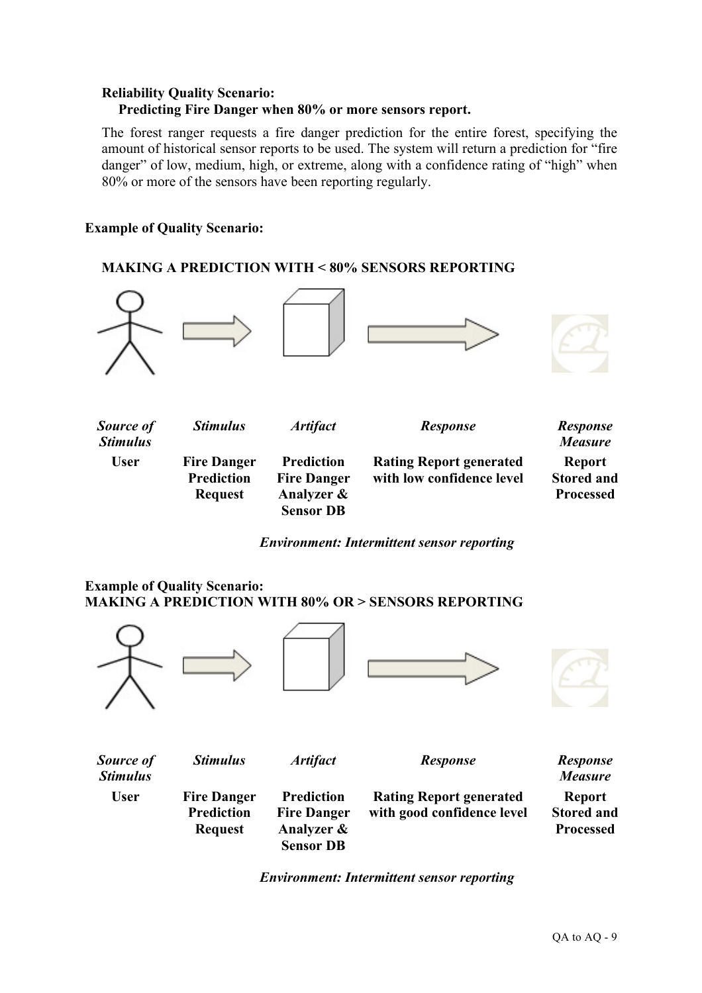#### **Reliability Quality Scenario: Predicting Fire Danger when 80% or more sensors report.**

The forest ranger requests a fire danger prediction for the entire forest, specifying the amount of historical sensor reports to be used. The system will return a prediction for "fire danger" of low, medium, high, or extreme, along with a confidence rating of "high" when 80% or more of the sensors have been reporting regularly.

### **Example of Quality Scenario:**

### **MAKING A PREDICTION WITH < 80% SENSORS REPORTING**



*Environment: Intermittent sensor reporting*

### **Example of Quality Scenario: MAKING A PREDICTION WITH 80% OR > SENSORS REPORTING**



*Environment: Intermittent sensor reporting*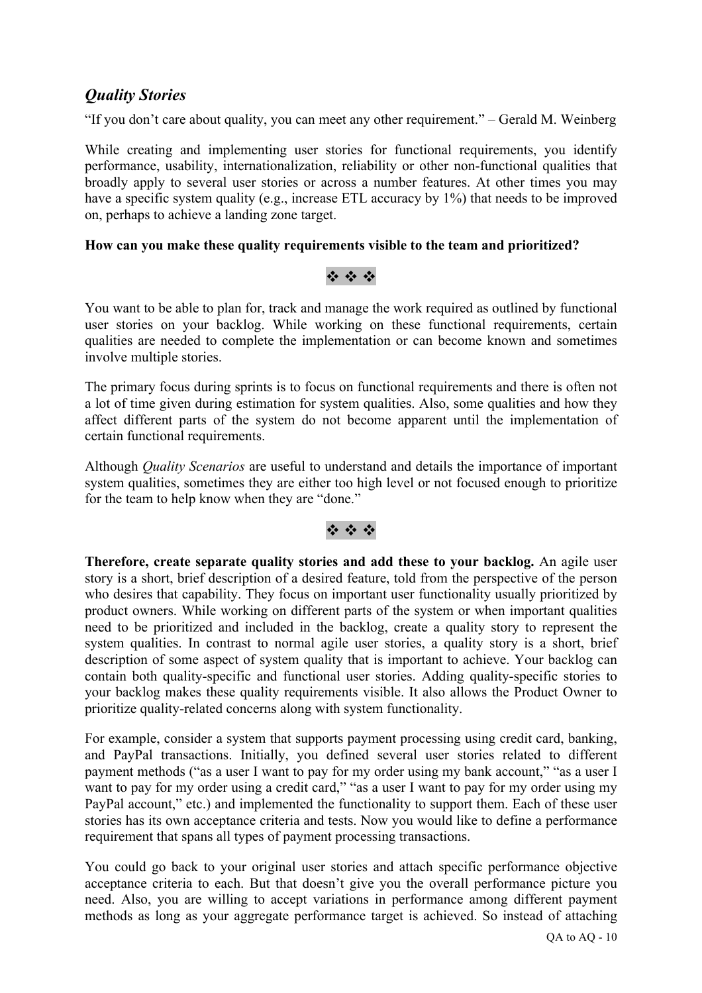### *Quality Stories*

"If you don't care about quality, you can meet any other requirement." – Gerald M. Weinberg

While creating and implementing user stories for functional requirements, you identify performance, usability, internationalization, reliability or other non-functional qualities that broadly apply to several user stories or across a number features. At other times you may have a specific system quality (e.g., increase ETL accuracy by 1%) that needs to be improved on, perhaps to achieve a landing zone target.

#### **How can you make these quality requirements visible to the team and prioritized?**

### \* \* \*

You want to be able to plan for, track and manage the work required as outlined by functional user stories on your backlog. While working on these functional requirements, certain qualities are needed to complete the implementation or can become known and sometimes involve multiple stories.

The primary focus during sprints is to focus on functional requirements and there is often not a lot of time given during estimation for system qualities. Also, some qualities and how they affect different parts of the system do not become apparent until the implementation of certain functional requirements.

Although *Quality Scenarios* are useful to understand and details the importance of important system qualities, sometimes they are either too high level or not focused enough to prioritize for the team to help know when they are "done."

### $2.42.42$

**Therefore, create separate quality stories and add these to your backlog.** An agile user story is a short, brief description of a desired feature, told from the perspective of the person who desires that capability. They focus on important user functionality usually prioritized by product owners. While working on different parts of the system or when important qualities need to be prioritized and included in the backlog, create a quality story to represent the system qualities. In contrast to normal agile user stories, a quality story is a short, brief description of some aspect of system quality that is important to achieve. Your backlog can contain both quality-specific and functional user stories. Adding quality-specific stories to your backlog makes these quality requirements visible. It also allows the Product Owner to prioritize quality-related concerns along with system functionality.

For example, consider a system that supports payment processing using credit card, banking, and PayPal transactions. Initially, you defined several user stories related to different payment methods ("as a user I want to pay for my order using my bank account," "as a user I want to pay for my order using a credit card," "as a user I want to pay for my order using my PayPal account," etc.) and implemented the functionality to support them. Each of these user stories has its own acceptance criteria and tests. Now you would like to define a performance requirement that spans all types of payment processing transactions.

You could go back to your original user stories and attach specific performance objective acceptance criteria to each. But that doesn't give you the overall performance picture you need. Also, you are willing to accept variations in performance among different payment methods as long as your aggregate performance target is achieved. So instead of attaching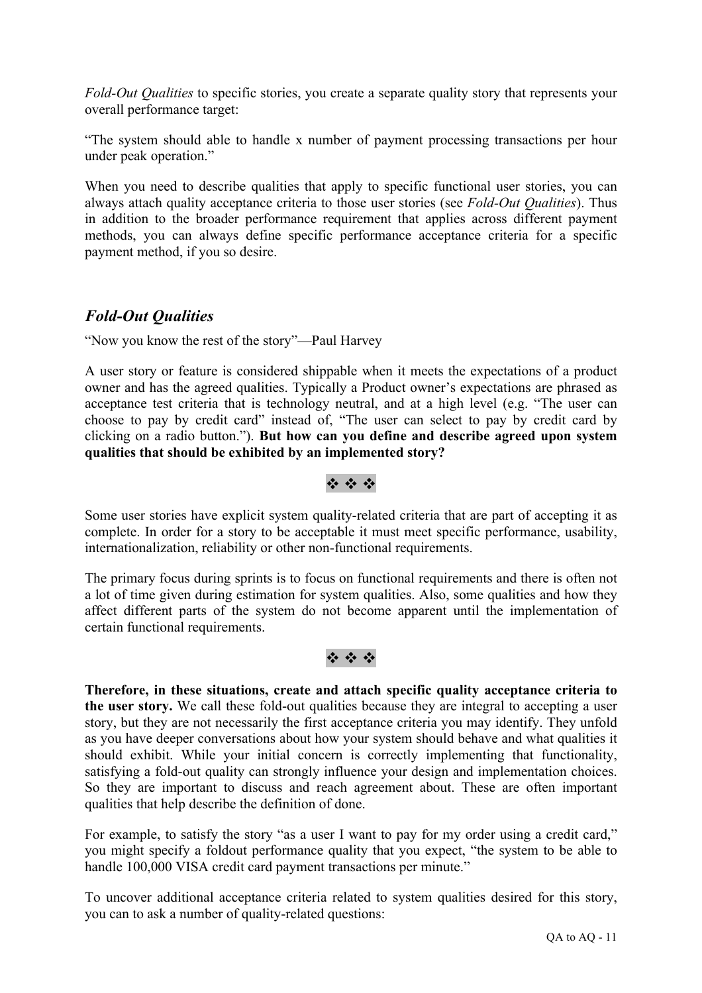*Fold-Out Qualities* to specific stories, you create a separate quality story that represents your overall performance target:

"The system should able to handle x number of payment processing transactions per hour under peak operation."

When you need to describe qualities that apply to specific functional user stories, you can always attach quality acceptance criteria to those user stories (see *Fold-Out Qualities*). Thus in addition to the broader performance requirement that applies across different payment methods, you can always define specific performance acceptance criteria for a specific payment method, if you so desire.

### *Fold-Out Qualities*

"Now you know the rest of the story"—Paul Harvey

A user story or feature is considered shippable when it meets the expectations of a product owner and has the agreed qualities. Typically a Product owner's expectations are phrased as acceptance test criteria that is technology neutral, and at a high level (e.g. "The user can choose to pay by credit card" instead of, "The user can select to pay by credit card by clicking on a radio button."). **But how can you define and describe agreed upon system qualities that should be exhibited by an implemented story?**

### $49.49.49$

Some user stories have explicit system quality-related criteria that are part of accepting it as complete. In order for a story to be acceptable it must meet specific performance, usability, internationalization, reliability or other non-functional requirements.

The primary focus during sprints is to focus on functional requirements and there is often not a lot of time given during estimation for system qualities. Also, some qualities and how they affect different parts of the system do not become apparent until the implementation of certain functional requirements.

### $49.49.49$

**Therefore, in these situations, create and attach specific quality acceptance criteria to the user story.** We call these fold-out qualities because they are integral to accepting a user story, but they are not necessarily the first acceptance criteria you may identify. They unfold as you have deeper conversations about how your system should behave and what qualities it should exhibit. While your initial concern is correctly implementing that functionality, satisfying a fold-out quality can strongly influence your design and implementation choices. So they are important to discuss and reach agreement about. These are often important qualities that help describe the definition of done.

For example, to satisfy the story "as a user I want to pay for my order using a credit card," you might specify a foldout performance quality that you expect, "the system to be able to handle 100,000 VISA credit card payment transactions per minute."

To uncover additional acceptance criteria related to system qualities desired for this story, you can to ask a number of quality-related questions: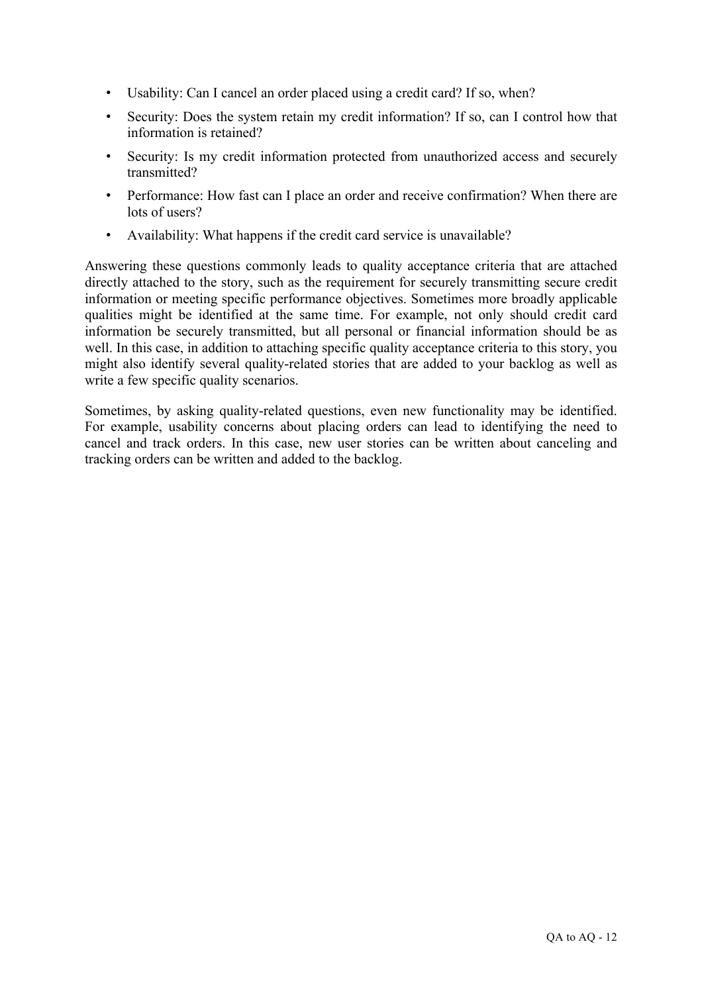- Usability: Can I cancel an order placed using a credit card? If so, when?
- Security: Does the system retain my credit information? If so, can I control how that information is retained?
- Security: Is my credit information protected from unauthorized access and securely transmitted?
- Performance: How fast can I place an order and receive confirmation? When there are lots of users?
- Availability: What happens if the credit card service is unavailable?

Answering these questions commonly leads to quality acceptance criteria that are attached directly attached to the story, such as the requirement for securely transmitting secure credit information or meeting specific performance objectives. Sometimes more broadly applicable qualities might be identified at the same time. For example, not only should credit card information be securely transmitted, but all personal or financial information should be as well. In this case, in addition to attaching specific quality acceptance criteria to this story, you might also identify several quality-related stories that are added to your backlog as well as write a few specific quality scenarios.

Sometimes, by asking quality-related questions, even new functionality may be identified. For example, usability concerns about placing orders can lead to identifying the need to cancel and track orders. In this case, new user stories can be written about canceling and tracking orders can be written and added to the backlog.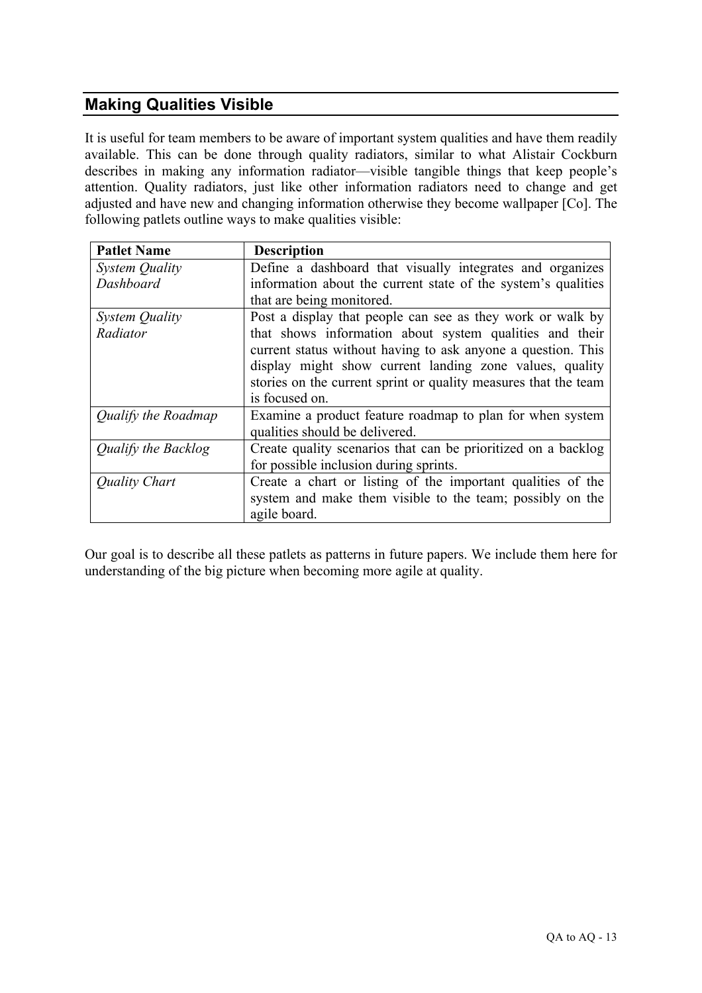## **Making Qualities Visible**

It is useful for team members to be aware of important system qualities and have them readily available. This can be done through quality radiators, similar to what Alistair Cockburn describes in making any information radiator—visible tangible things that keep people's attention. Quality radiators, just like other information radiators need to change and get adjusted and have new and changing information otherwise they become wallpaper [Co]. The following patlets outline ways to make qualities visible:

| <b>Patlet Name</b>  | <b>Description</b>                                              |
|---------------------|-----------------------------------------------------------------|
| System Quality      | Define a dashboard that visually integrates and organizes       |
| Dashboard           | information about the current state of the system's qualities   |
|                     | that are being monitored.                                       |
| System Quality      | Post a display that people can see as they work or walk by      |
| Radiator            | that shows information about system qualities and their         |
|                     | current status without having to ask anyone a question. This    |
|                     | display might show current landing zone values, quality         |
|                     | stories on the current sprint or quality measures that the team |
|                     | is focused on.                                                  |
| Qualify the Roadmap | Examine a product feature roadmap to plan for when system       |
|                     | qualities should be delivered.                                  |
| Qualify the Backlog | Create quality scenarios that can be prioritized on a backlog   |
|                     | for possible inclusion during sprints.                          |
| Quality Chart       | Create a chart or listing of the important qualities of the     |
|                     | system and make them visible to the team; possibly on the       |
|                     | agile board.                                                    |

Our goal is to describe all these patlets as patterns in future papers. We include them here for understanding of the big picture when becoming more agile at quality.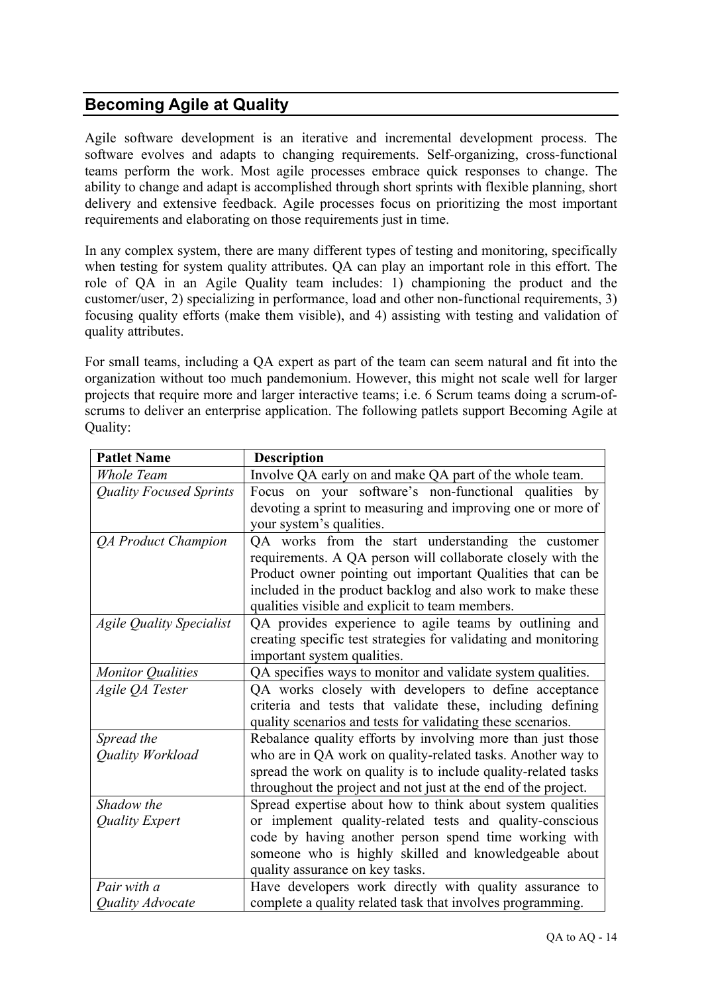### **Becoming Agile at Quality**

Agile software development is an iterative and incremental development process. The software evolves and adapts to changing requirements. Self-organizing, cross-functional teams perform the work. Most agile processes embrace quick responses to change. The ability to change and adapt is accomplished through short sprints with flexible planning, short delivery and extensive feedback. Agile processes focus on prioritizing the most important requirements and elaborating on those requirements just in time.

In any complex system, there are many different types of testing and monitoring, specifically when testing for system quality attributes. QA can play an important role in this effort. The role of QA in an Agile Quality team includes: 1) championing the product and the customer/user, 2) specializing in performance, load and other non-functional requirements, 3) focusing quality efforts (make them visible), and 4) assisting with testing and validation of quality attributes.

For small teams, including a QA expert as part of the team can seem natural and fit into the organization without too much pandemonium. However, this might not scale well for larger projects that require more and larger interactive teams; i.e. 6 Scrum teams doing a scrum-ofscrums to deliver an enterprise application. The following patlets support Becoming Agile at Quality:

| <b>Patlet Name</b>              | <b>Description</b>                                              |
|---------------------------------|-----------------------------------------------------------------|
| <b>Whole Team</b>               | Involve QA early on and make QA part of the whole team.         |
| <b>Quality Focused Sprints</b>  | Focus on your software's non-functional qualities by            |
|                                 | devoting a sprint to measuring and improving one or more of     |
|                                 | your system's qualities.                                        |
| QA Product Champion             | QA works from the start understanding the customer              |
|                                 | requirements. A QA person will collaborate closely with the     |
|                                 | Product owner pointing out important Qualities that can be      |
|                                 | included in the product backlog and also work to make these     |
|                                 | qualities visible and explicit to team members.                 |
| <b>Agile Quality Specialist</b> | QA provides experience to agile teams by outlining and          |
|                                 | creating specific test strategies for validating and monitoring |
|                                 | important system qualities.                                     |
| <b>Monitor Qualities</b>        | QA specifies ways to monitor and validate system qualities.     |
| Agile QA Tester                 | QA works closely with developers to define acceptance           |
|                                 | criteria and tests that validate these, including defining      |
|                                 | quality scenarios and tests for validating these scenarios.     |
| Spread the                      | Rebalance quality efforts by involving more than just those     |
| Quality Workload                | who are in QA work on quality-related tasks. Another way to     |
|                                 | spread the work on quality is to include quality-related tasks  |
|                                 | throughout the project and not just at the end of the project.  |
| Shadow the                      | Spread expertise about how to think about system qualities      |
| Quality Expert                  | or implement quality-related tests and quality-conscious        |
|                                 | code by having another person spend time working with           |
|                                 | someone who is highly skilled and knowledgeable about           |
|                                 | quality assurance on key tasks.                                 |
| Pair with a                     | Have developers work directly with quality assurance to         |
| Quality Advocate                | complete a quality related task that involves programming.      |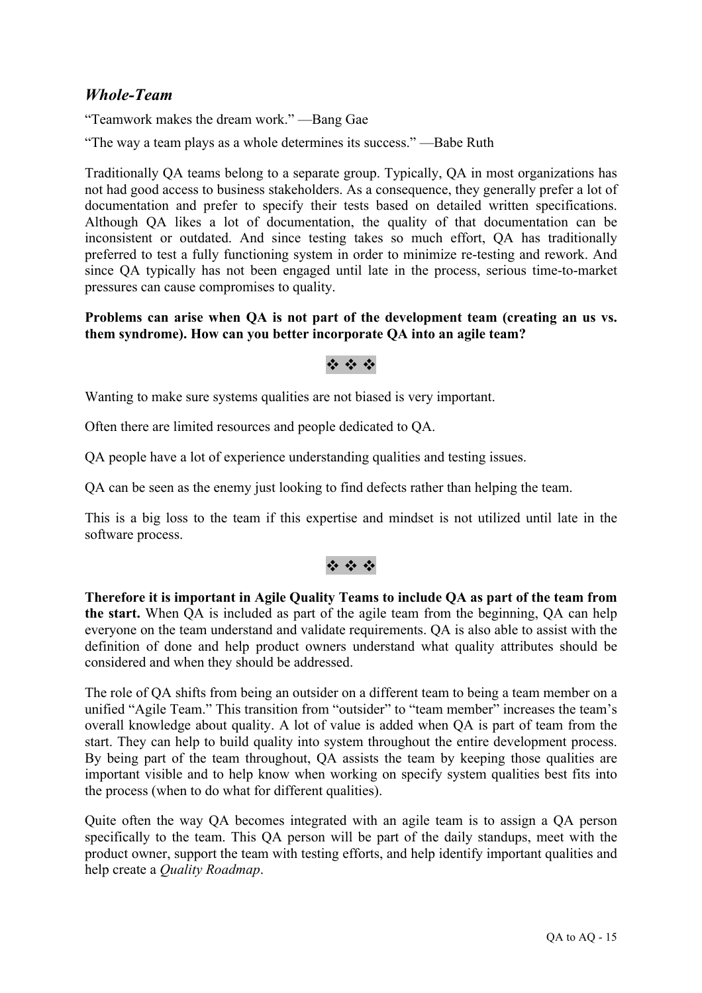### *Whole-Team*

"Teamwork makes the dream work." —Bang Gae

"The way a team plays as a whole determines its success." —Babe Ruth

Traditionally QA teams belong to a separate group. Typically, QA in most organizations has not had good access to business stakeholders. As a consequence, they generally prefer a lot of documentation and prefer to specify their tests based on detailed written specifications. Although QA likes a lot of documentation, the quality of that documentation can be inconsistent or outdated. And since testing takes so much effort, QA has traditionally preferred to test a fully functioning system in order to minimize re-testing and rework. And since QA typically has not been engaged until late in the process, serious time-to-market pressures can cause compromises to quality.

#### **Problems can arise when QA is not part of the development team (creating an us vs. them syndrome). How can you better incorporate QA into an agile team?**

### $2.49 \pm 0.00$

Wanting to make sure systems qualities are not biased is very important.

Often there are limited resources and people dedicated to QA.

QA people have a lot of experience understanding qualities and testing issues.

QA can be seen as the enemy just looking to find defects rather than helping the team.

This is a big loss to the team if this expertise and mindset is not utilized until late in the software process.

### \* \* \*

**Therefore it is important in Agile Quality Teams to include QA as part of the team from the start.** When QA is included as part of the agile team from the beginning, QA can help everyone on the team understand and validate requirements. QA is also able to assist with the definition of done and help product owners understand what quality attributes should be considered and when they should be addressed.

The role of QA shifts from being an outsider on a different team to being a team member on a unified "Agile Team." This transition from "outsider" to "team member" increases the team's overall knowledge about quality. A lot of value is added when QA is part of team from the start. They can help to build quality into system throughout the entire development process. By being part of the team throughout. OA assists the team by keeping those qualities are important visible and to help know when working on specify system qualities best fits into the process (when to do what for different qualities).

Quite often the way QA becomes integrated with an agile team is to assign a QA person specifically to the team. This QA person will be part of the daily standups, meet with the product owner, support the team with testing efforts, and help identify important qualities and help create a *Quality Roadmap*.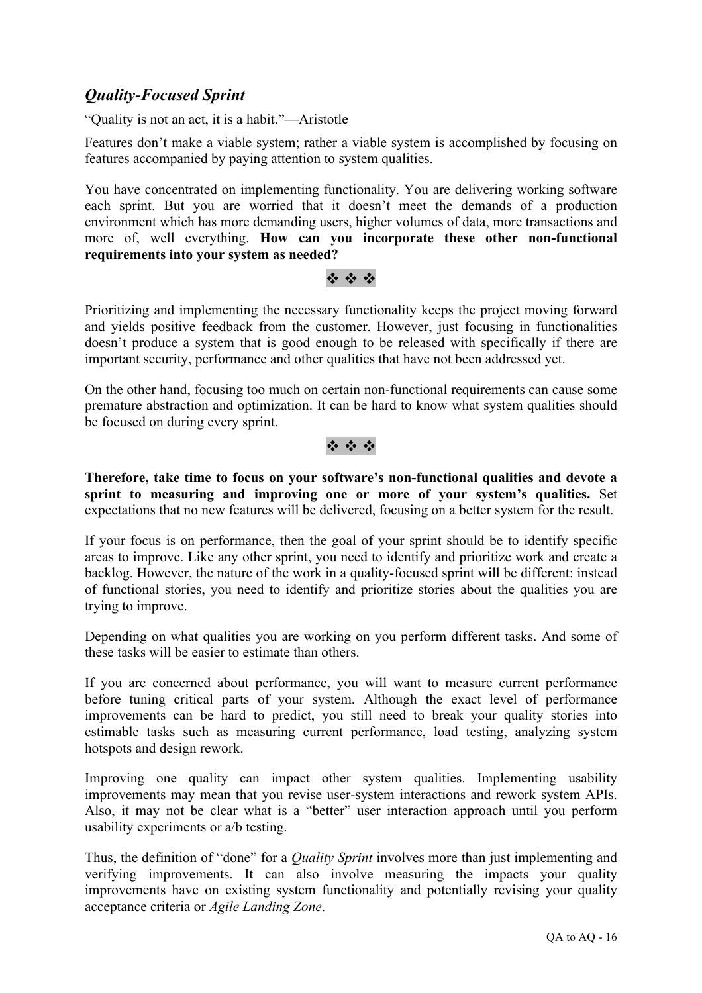### *Quality-Focused Sprint*

"Quality is not an act, it is a habit."—Aristotle

Features don't make a viable system; rather a viable system is accomplished by focusing on features accompanied by paying attention to system qualities.

You have concentrated on implementing functionality. You are delivering working software each sprint. But you are worried that it doesn't meet the demands of a production environment which has more demanding users, higher volumes of data, more transactions and more of, well everything. **How can you incorporate these other non-functional requirements into your system as needed?**

#### $49.49.49$

Prioritizing and implementing the necessary functionality keeps the project moving forward and yields positive feedback from the customer. However, just focusing in functionalities doesn't produce a system that is good enough to be released with specifically if there are important security, performance and other qualities that have not been addressed yet.

On the other hand, focusing too much on certain non-functional requirements can cause some premature abstraction and optimization. It can be hard to know what system qualities should be focused on during every sprint.

#### \* \* \*

**Therefore, take time to focus on your software's non-functional qualities and devote a sprint to measuring and improving one or more of your system's qualities.** Set expectations that no new features will be delivered, focusing on a better system for the result.

If your focus is on performance, then the goal of your sprint should be to identify specific areas to improve. Like any other sprint, you need to identify and prioritize work and create a backlog. However, the nature of the work in a quality-focused sprint will be different: instead of functional stories, you need to identify and prioritize stories about the qualities you are trying to improve.

Depending on what qualities you are working on you perform different tasks. And some of these tasks will be easier to estimate than others.

If you are concerned about performance, you will want to measure current performance before tuning critical parts of your system. Although the exact level of performance improvements can be hard to predict, you still need to break your quality stories into estimable tasks such as measuring current performance, load testing, analyzing system hotspots and design rework.

Improving one quality can impact other system qualities. Implementing usability improvements may mean that you revise user-system interactions and rework system APIs. Also, it may not be clear what is a "better" user interaction approach until you perform usability experiments or a/b testing.

Thus, the definition of "done" for a *Quality Sprint* involves more than just implementing and verifying improvements. It can also involve measuring the impacts your quality improvements have on existing system functionality and potentially revising your quality acceptance criteria or *Agile Landing Zone*.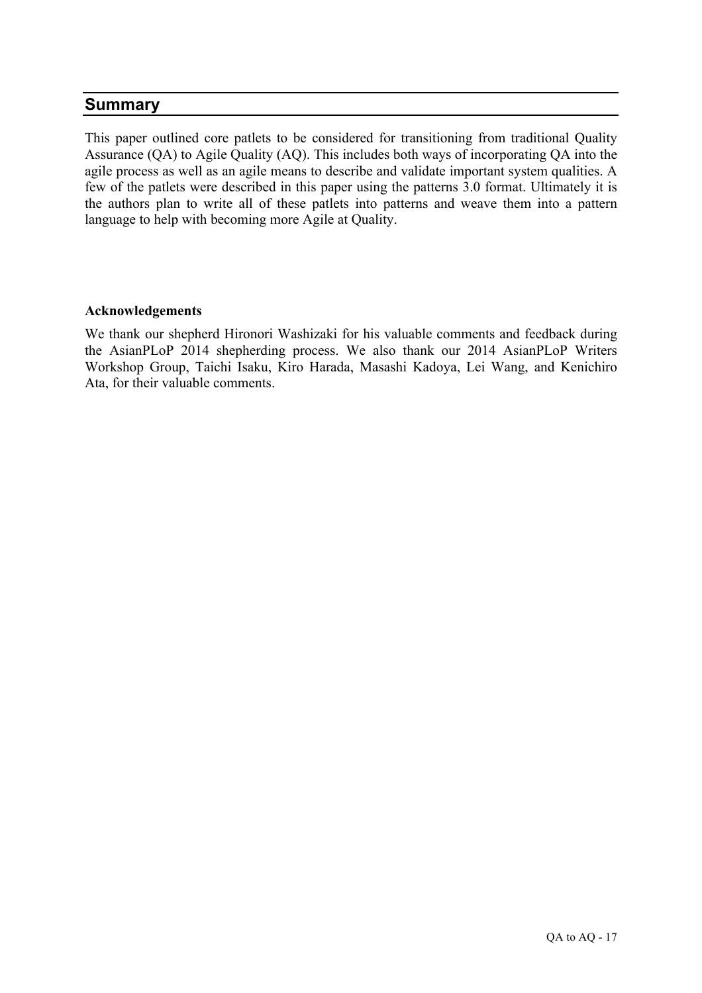### **Summary**

This paper outlined core patlets to be considered for transitioning from traditional Quality Assurance (QA) to Agile Quality (AQ). This includes both ways of incorporating QA into the agile process as well as an agile means to describe and validate important system qualities. A few of the patlets were described in this paper using the patterns 3.0 format. Ultimately it is the authors plan to write all of these patlets into patterns and weave them into a pattern language to help with becoming more Agile at Quality.

#### **Acknowledgements**

We thank our shepherd Hironori Washizaki for his valuable comments and feedback during the AsianPLoP 2014 shepherding process. We also thank our 2014 AsianPLoP Writers Workshop Group, Taichi Isaku, Kiro Harada, Masashi Kadoya, Lei Wang, and Kenichiro Ata, for their valuable comments.